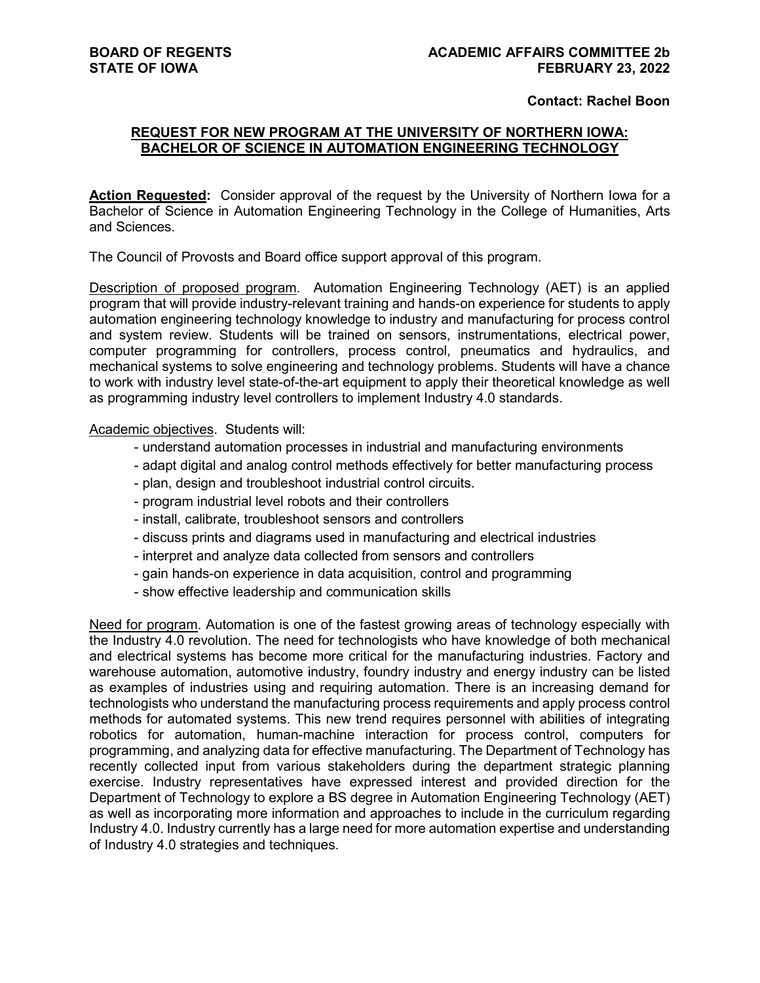## **Contact: Rachel Boon**

## **REQUEST FOR NEW PROGRAM AT THE UNIVERSITY OF NORTHERN IOWA: BACHELOR OF SCIENCE IN AUTOMATION ENGINEERING TECHNOLOGY**

**Action Requested:** Consider approval of the request by the University of Northern Iowa for a Bachelor of Science in Automation Engineering Technology in the College of Humanities, Arts and Sciences.

The Council of Provosts and Board office support approval of this program.

Description of proposed program. Automation Engineering Technology (AET) is an applied program that will provide industry-relevant training and hands-on experience for students to apply automation engineering technology knowledge to industry and manufacturing for process control and system review. Students will be trained on sensors, instrumentations, electrical power, computer programming for controllers, process control, pneumatics and hydraulics, and mechanical systems to solve engineering and technology problems. Students will have a chance to work with industry level state-of-the-art equipment to apply their theoretical knowledge as well as programming industry level controllers to implement Industry 4.0 standards.

Academic objectives. Students will:

- understand automation processes in industrial and manufacturing environments
- adapt digital and analog control methods effectively for better manufacturing process
- plan, design and troubleshoot industrial control circuits.
- program industrial level robots and their controllers
- install, calibrate, troubleshoot sensors and controllers
- discuss prints and diagrams used in manufacturing and electrical industries
- interpret and analyze data collected from sensors and controllers
- gain hands-on experience in data acquisition, control and programming
- show effective leadership and communication skills

Need for program. Automation is one of the fastest growing areas of technology especially with the Industry 4.0 revolution. The need for technologists who have knowledge of both mechanical and electrical systems has become more critical for the manufacturing industries. Factory and warehouse automation, automotive industry, foundry industry and energy industry can be listed as examples of industries using and requiring automation. There is an increasing demand for technologists who understand the manufacturing process requirements and apply process control methods for automated systems. This new trend requires personnel with abilities of integrating robotics for automation, human-machine interaction for process control, computers for programming, and analyzing data for effective manufacturing. The Department of Technology has recently collected input from various stakeholders during the department strategic planning exercise. Industry representatives have expressed interest and provided direction for the Department of Technology to explore a BS degree in Automation Engineering Technology (AET) as well as incorporating more information and approaches to include in the curriculum regarding Industry 4.0. Industry currently has a large need for more automation expertise and understanding of Industry 4.0 strategies and techniques.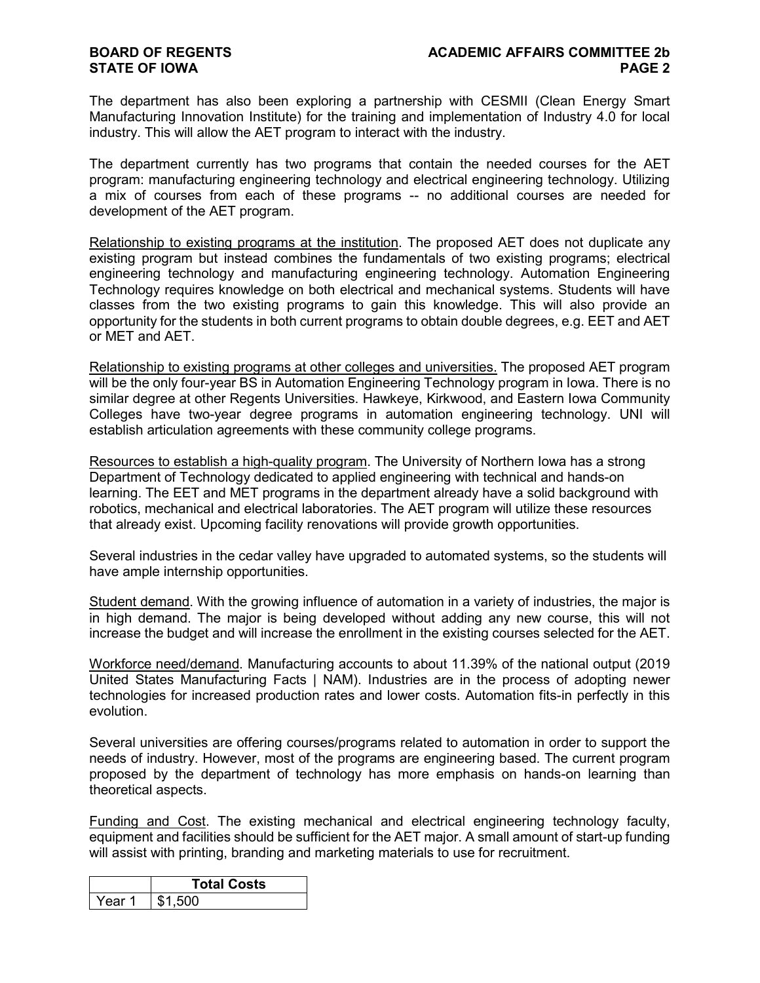## **STATE OF IOWA**

The department has also been exploring a partnership with CESMII (Clean Energy Smart Manufacturing Innovation Institute) for the training and implementation of Industry 4.0 for local industry. This will allow the AET program to interact with the industry.

The department currently has two programs that contain the needed courses for the AET program: manufacturing engineering technology and electrical engineering technology. Utilizing a mix of courses from each of these programs -- no additional courses are needed for development of the AET program.

Relationship to existing programs at the institution. The proposed AET does not duplicate any existing program but instead combines the fundamentals of two existing programs; electrical engineering technology and manufacturing engineering technology. Automation Engineering Technology requires knowledge on both electrical and mechanical systems. Students will have classes from the two existing programs to gain this knowledge. This will also provide an opportunity for the students in both current programs to obtain double degrees, e.g. EET and AET or MET and AET.

Relationship to existing programs at other colleges and universities. The proposed AET program will be the only four-year BS in Automation Engineering Technology program in Iowa. There is no similar degree at other Regents Universities. Hawkeye, Kirkwood, and Eastern Iowa Community Colleges have two-year degree programs in automation engineering technology. UNI will establish articulation agreements with these community college programs.

Resources to establish a high-quality program. The University of Northern Iowa has a strong Department of Technology dedicated to applied engineering with technical and hands-on learning. The EET and MET programs in the department already have a solid background with robotics, mechanical and electrical laboratories. The AET program will utilize these resources that already exist. Upcoming facility renovations will provide growth opportunities.

Several industries in the cedar valley have upgraded to automated systems, so the students will have ample internship opportunities.

Student demand. With the growing influence of automation in a variety of industries, the major is in high demand. The major is being developed without adding any new course, this will not increase the budget and will increase the enrollment in the existing courses selected for the AET.

Workforce need/demand. Manufacturing accounts to about 11.39% of the national output (2019 United States Manufacturing Facts | NAM). Industries are in the process of adopting newer technologies for increased production rates and lower costs. Automation fits-in perfectly in this evolution.

Several universities are offering courses/programs related to automation in order to support the needs of industry. However, most of the programs are engineering based. The current program proposed by the department of technology has more emphasis on hands-on learning than theoretical aspects.

Funding and Cost. The existing mechanical and electrical engineering technology faculty, equipment and facilities should be sufficient for the AET major. A small amount of start-up funding will assist with printing, branding and marketing materials to use for recruitment.

|        | <b>Total Costs</b> |  |  |  |
|--------|--------------------|--|--|--|
| Year 1 | 1,500              |  |  |  |